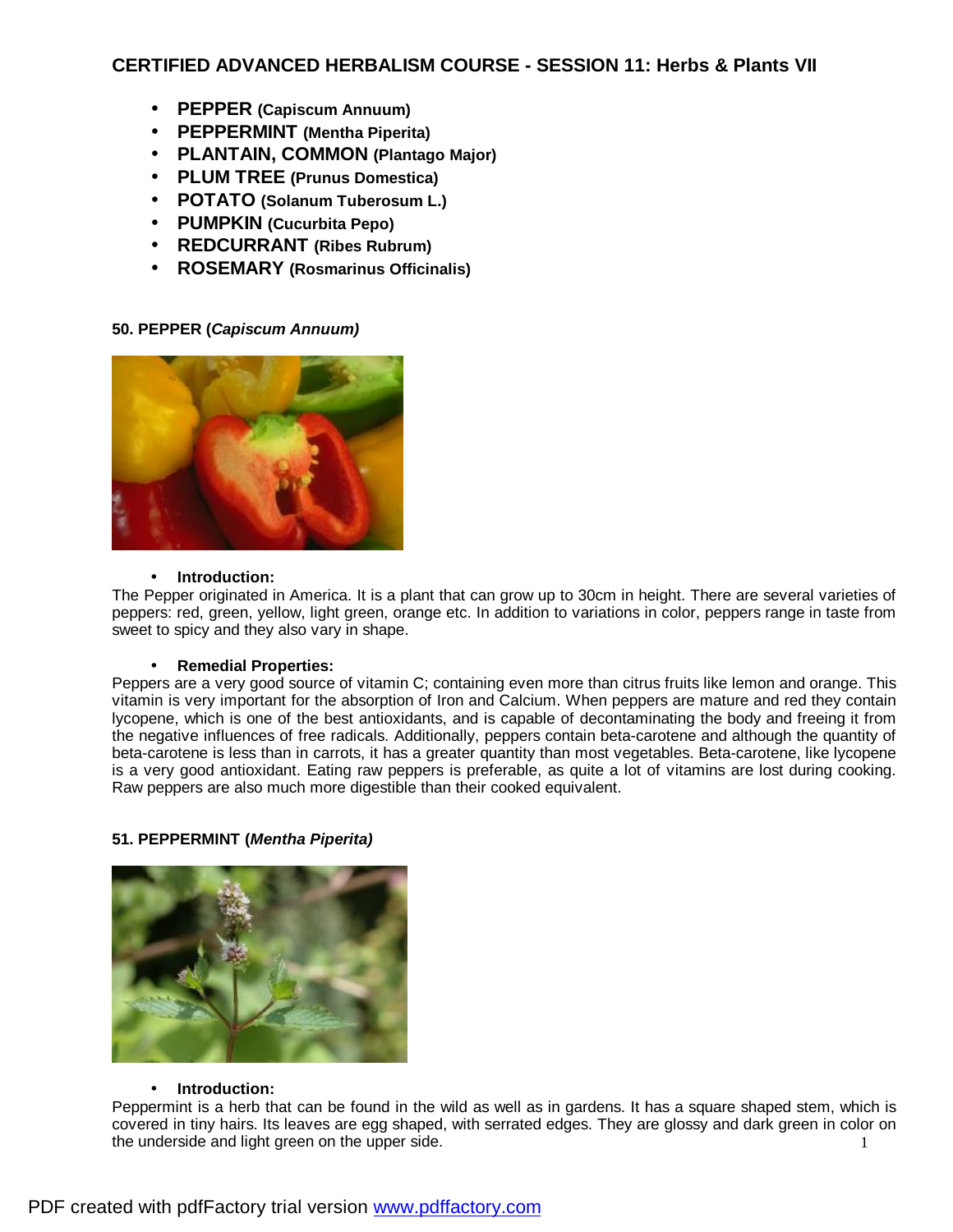# **CERTIFIED ADVANCED HERBALISM COURSE - SESSION 11: Herbs & Plants VII**

- **PEPPER (Capiscum Annuum)**
- **PEPPERMINT (Mentha Piperita)**
- **PLANTAIN, COMMON (Plantago Major)**
- **PLUM TREE (Prunus Domestica)**
- **POTATO (Solanum Tuberosum L.)**
- **PUMPKIN (Cucurbita Pepo)**
- **REDCURRANT (Ribes Rubrum)**
- **ROSEMARY (Rosmarinus Officinalis)**

## **50. PEPPER (***Capiscum Annuum)*



## • **Introduction:**

The Pepper originated in America. It is a plant that can grow up to 30cm in height. There are several varieties of peppers: red, green, yellow, light green, orange etc. In addition to variations in color, peppers range in taste from sweet to spicy and they also vary in shape.

## • **Remedial Properties:**

Peppers are a very good source of vitamin C; containing even more than citrus fruits like lemon and orange. This vitamin is very important for the absorption of Iron and Calcium. When peppers are mature and red they contain lycopene, which is one of the best antioxidants, and is capable of decontaminating the body and freeing it from the negative influences of free radicals. Additionally, peppers contain beta-carotene and although the quantity of beta-carotene is less than in carrots, it has a greater quantity than most vegetables. Beta-carotene, like lycopene is a very good antioxidant. Eating raw peppers is preferable, as quite a lot of vitamins are lost during cooking. Raw peppers are also much more digestible than their cooked equivalent.

## **51. PEPPERMINT (***Mentha Piperita)*



## • **Introduction:**

1 Peppermint is a herb that can be found in the wild as well as in gardens. It has a square shaped stem, which is covered in tiny hairs. Its leaves are egg shaped, with serrated edges. They are glossy and dark green in color on the underside and light green on the upper side.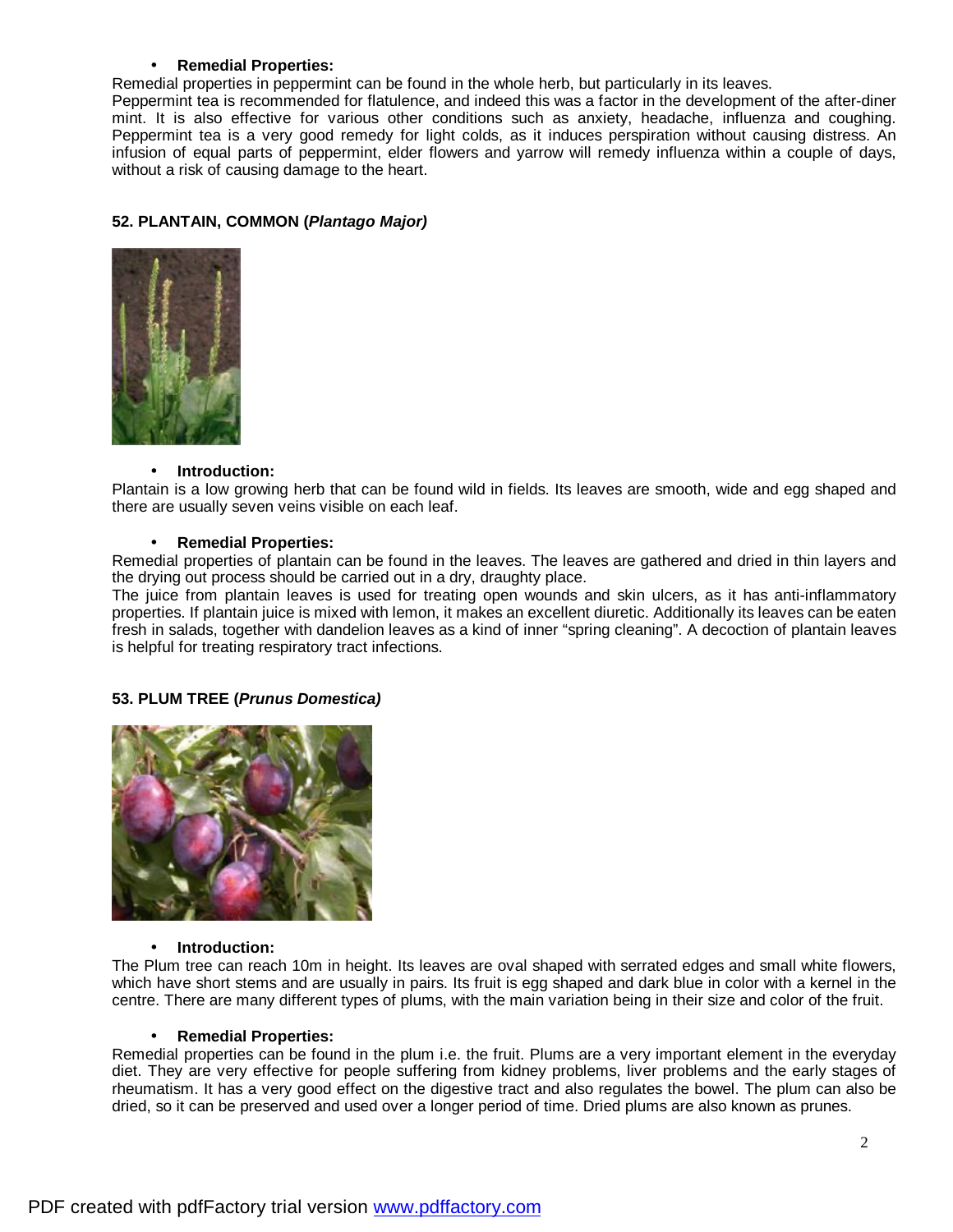## • **Remedial Properties:**

Remedial properties in peppermint can be found in the whole herb, but particularly in its leaves.

Peppermint tea is recommended for flatulence, and indeed this was a factor in the development of the after-diner mint. It is also effective for various other conditions such as anxiety, headache, influenza and coughing. Peppermint tea is a very good remedy for light colds, as it induces perspiration without causing distress. An infusion of equal parts of peppermint, elder flowers and yarrow will remedy influenza within a couple of days, without a risk of causing damage to the heart.

## **52. PLANTAIN, COMMON (***Plantago Major)*



#### • **Introduction:**

Plantain is a low growing herb that can be found wild in fields. Its leaves are smooth, wide and egg shaped and there are usually seven veins visible on each leaf.

#### • **Remedial Properties:**

Remedial properties of plantain can be found in the leaves. The leaves are gathered and dried in thin layers and the drying out process should be carried out in a dry, draughty place.

The juice from plantain leaves is used for treating open wounds and skin ulcers, as it has anti-inflammatory properties. If plantain juice is mixed with lemon, it makes an excellent diuretic. Additionally its leaves can be eaten fresh in salads, together with dandelion leaves as a kind of inner "spring cleaning". A decoction of plantain leaves is helpful for treating respiratory tract infections.

## **53. PLUM TREE (***Prunus Domestica)*



#### • **Introduction:**

The Plum tree can reach 10m in height. Its leaves are oval shaped with serrated edges and small white flowers, which have short stems and are usually in pairs. Its fruit is egg shaped and dark blue in color with a kernel in the centre. There are many different types of plums, with the main variation being in their size and color of the fruit.

#### • **Remedial Properties:**

Remedial properties can be found in the plum i.e. the fruit. Plums are a very important element in the everyday diet. They are very effective for people suffering from kidney problems, liver problems and the early stages of rheumatism. It has a very good effect on the digestive tract and also regulates the bowel. The plum can also be dried, so it can be preserved and used over a longer period of time. Dried plums are also known as prunes.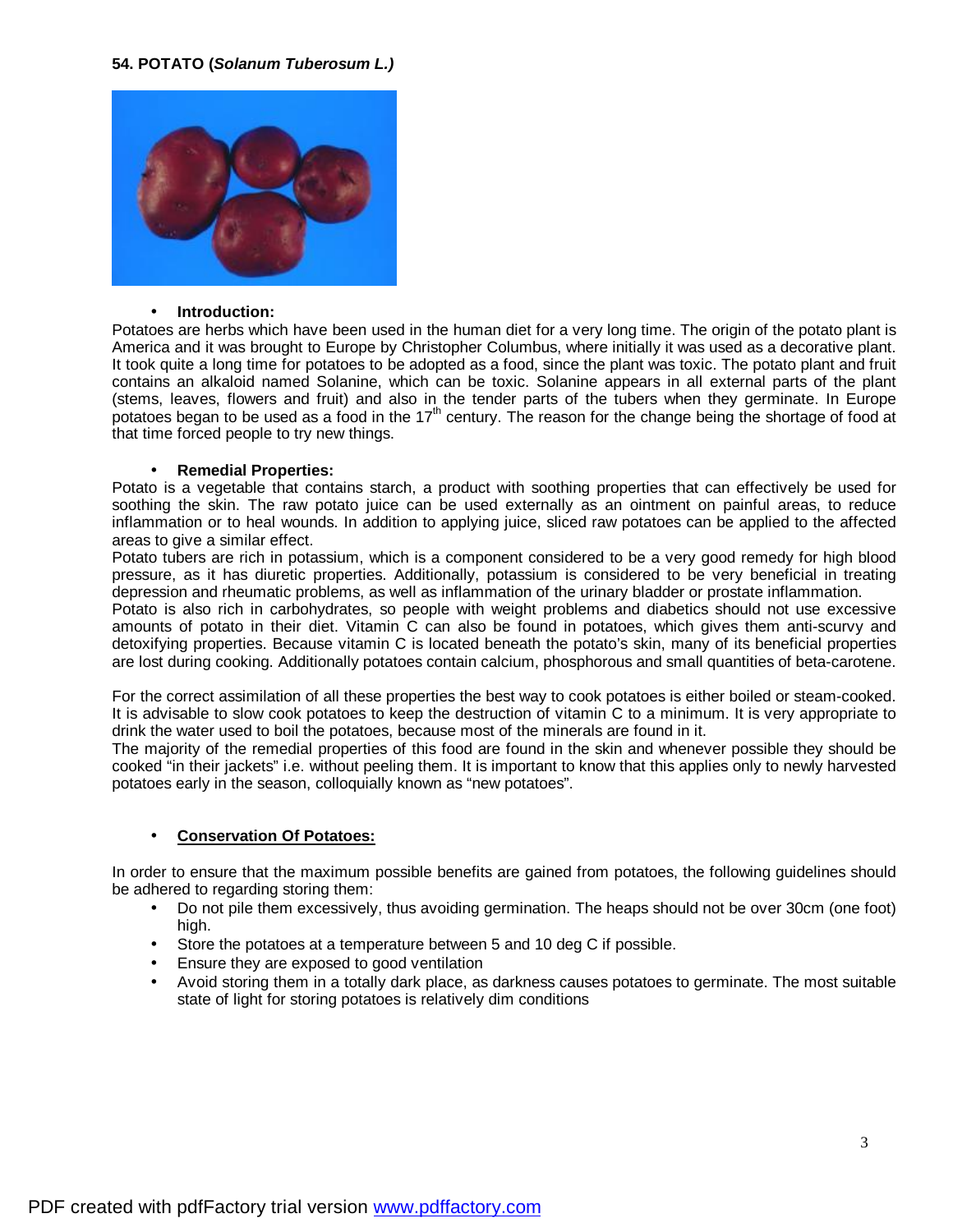

#### • **Introduction:**

Potatoes are herbs which have been used in the human diet for a very long time. The origin of the potato plant is America and it was brought to Europe by Christopher Columbus, where initially it was used as a decorative plant. It took quite a long time for potatoes to be adopted as a food, since the plant was toxic. The potato plant and fruit contains an alkaloid named Solanine, which can be toxic. Solanine appears in all external parts of the plant (stems, leaves, flowers and fruit) and also in the tender parts of the tubers when they germinate. In Europe potatoes began to be used as a food in the 17<sup>th</sup> century. The reason for the change being the shortage of food at that time forced people to try new things.

#### • **Remedial Properties:**

Potato is a vegetable that contains starch, a product with soothing properties that can effectively be used for soothing the skin. The raw potato juice can be used externally as an ointment on painful areas, to reduce inflammation or to heal wounds. In addition to applying juice, sliced raw potatoes can be applied to the affected areas to give a similar effect.

Potato tubers are rich in potassium, which is a component considered to be a very good remedy for high blood pressure, as it has diuretic properties. Additionally, potassium is considered to be very beneficial in treating depression and rheumatic problems, as well as inflammation of the urinary bladder or prostate inflammation.

Potato is also rich in carbohydrates, so people with weight problems and diabetics should not use excessive amounts of potato in their diet. Vitamin C can also be found in potatoes, which gives them anti-scurvy and detoxifying properties. Because vitamin C is located beneath the potato's skin, many of its beneficial properties are lost during cooking. Additionally potatoes contain calcium, phosphorous and small quantities of beta-carotene.

For the correct assimilation of all these properties the best way to cook potatoes is either boiled or steam-cooked. It is advisable to slow cook potatoes to keep the destruction of vitamin C to a minimum. It is very appropriate to drink the water used to boil the potatoes, because most of the minerals are found in it.

The majority of the remedial properties of this food are found in the skin and whenever possible they should be cooked "in their jackets" i.e. without peeling them. It is important to know that this applies only to newly harvested potatoes early in the season, colloquially known as "new potatoes".

## • **Conservation Of Potatoes:**

In order to ensure that the maximum possible benefits are gained from potatoes, the following guidelines should be adhered to regarding storing them:

- Do not pile them excessively, thus avoiding germination. The heaps should not be over 30cm (one foot) high.
- Store the potatoes at a temperature between 5 and 10 deg C if possible.
- Ensure they are exposed to good ventilation
- Avoid storing them in a totally dark place, as darkness causes potatoes to germinate. The most suitable state of light for storing potatoes is relatively dim conditions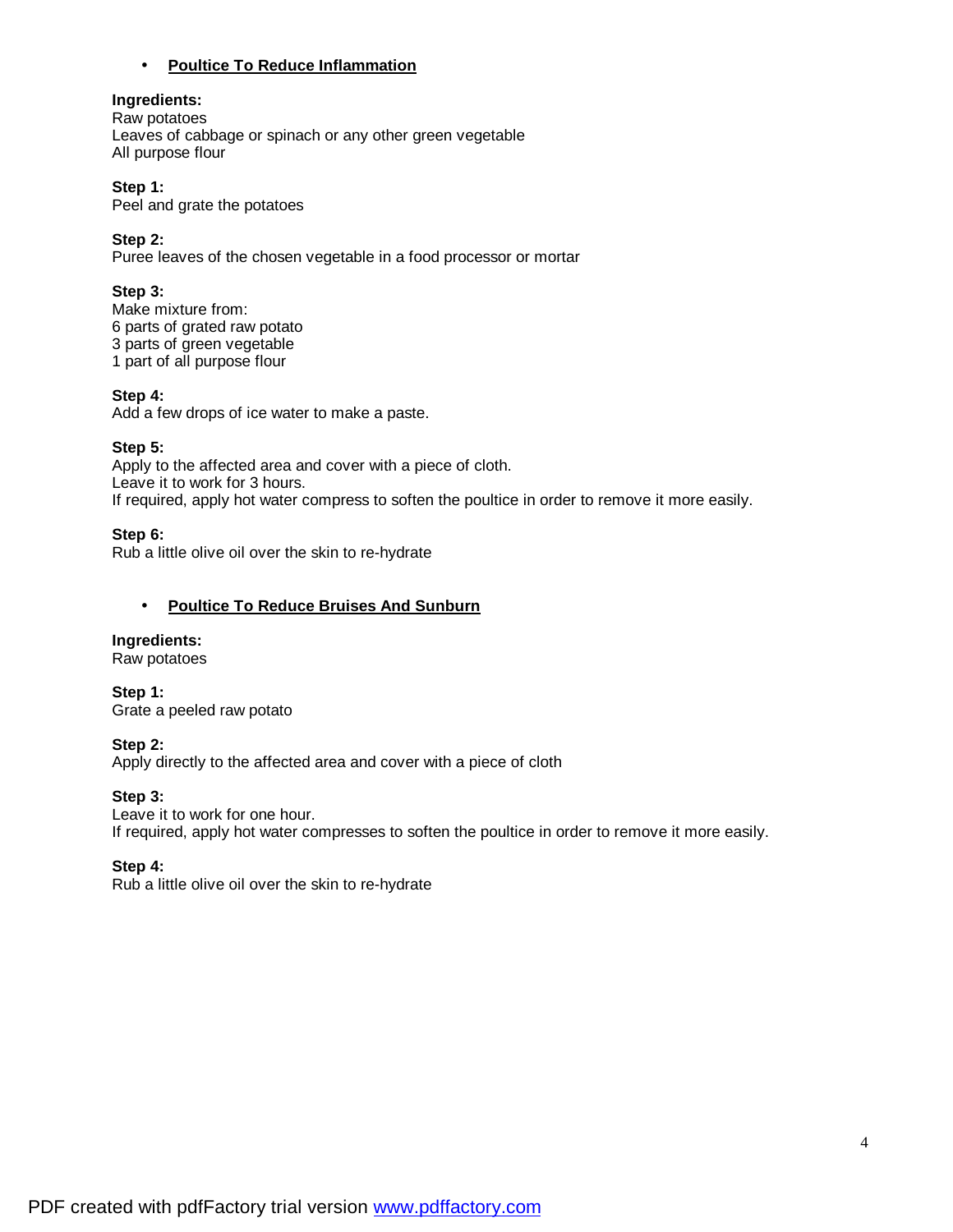## • **Poultice To Reduce Inflammation**

## **Ingredients:**

Raw potatoes Leaves of cabbage or spinach or any other green vegetable All purpose flour

## **Step 1:**

Peel and grate the potatoes

## **Step 2:**

Puree leaves of the chosen vegetable in a food processor or mortar

## **Step 3:**

Make mixture from: parts of grated raw potato parts of green vegetable part of all purpose flour

## **Step 4:**

Add a few drops of ice water to make a paste.

## **Step 5:**

Apply to the affected area and cover with a piece of cloth. Leave it to work for 3 hours. If required, apply hot water compress to soften the poultice in order to remove it more easily.

## **Step 6:**

Rub a little olive oil over the skin to re-hydrate

## • **Poultice To Reduce Bruises And Sunburn**

# **Ingredients:**

Raw potatoes

**Step 1:**  Grate a peeled raw potato

# **Step 2:**

Apply directly to the affected area and cover with a piece of cloth

# **Step 3:**

Leave it to work for one hour. If required, apply hot water compresses to soften the poultice in order to remove it more easily.

## **Step 4:**

Rub a little olive oil over the skin to re-hydrate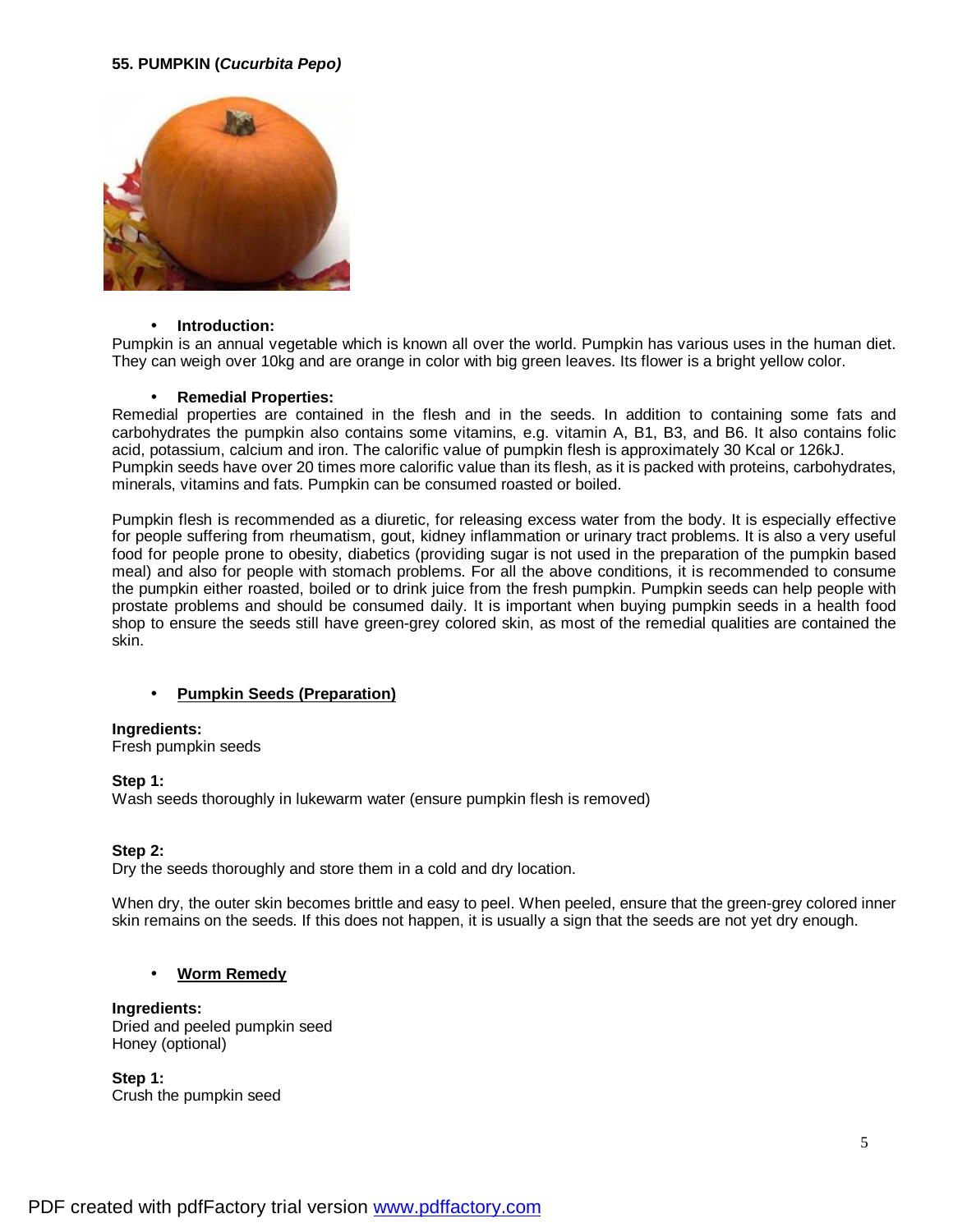## **55. PUMPKIN (***Cucurbita Pepo)*



#### • **Introduction:**

Pumpkin is an annual vegetable which is known all over the world. Pumpkin has various uses in the human diet. They can weigh over 10kg and are orange in color with big green leaves. Its flower is a bright yellow color.

#### • **Remedial Properties:**

Remedial properties are contained in the flesh and in the seeds. In addition to containing some fats and carbohydrates the pumpkin also contains some vitamins, e.g. vitamin A, B1, B3, and B6. It also contains folic acid, potassium, calcium and iron. The calorific value of pumpkin flesh is approximately 30 Kcal or 126kJ. Pumpkin seeds have over 20 times more calorific value than its flesh, as it is packed with proteins, carbohydrates, minerals, vitamins and fats. Pumpkin can be consumed roasted or boiled.

Pumpkin flesh is recommended as a diuretic, for releasing excess water from the body. It is especially effective for people suffering from rheumatism, gout, kidney inflammation or urinary tract problems. It is also a very useful food for people prone to obesity, diabetics (providing sugar is not used in the preparation of the pumpkin based meal) and also for people with stomach problems. For all the above conditions, it is recommended to consume the pumpkin either roasted, boiled or to drink juice from the fresh pumpkin. Pumpkin seeds can help people with prostate problems and should be consumed daily. It is important when buying pumpkin seeds in a health food shop to ensure the seeds still have green-grey colored skin, as most of the remedial qualities are contained the skin.

## • **Pumpkin Seeds (Preparation)**

## **Ingredients:**

Fresh pumpkin seeds

## **Step 1:**

Wash seeds thoroughly in lukewarm water (ensure pumpkin flesh is removed)

## **Step 2:**

Dry the seeds thoroughly and store them in a cold and dry location.

When dry, the outer skin becomes brittle and easy to peel. When peeled, ensure that the green-grey colored inner skin remains on the seeds. If this does not happen, it is usually a sign that the seeds are not yet dry enough.

## • **Worm Remedy**

# **Ingredients:**

Dried and peeled pumpkin seed Honey (optional)

**Step 1:**  Crush the pumpkin seed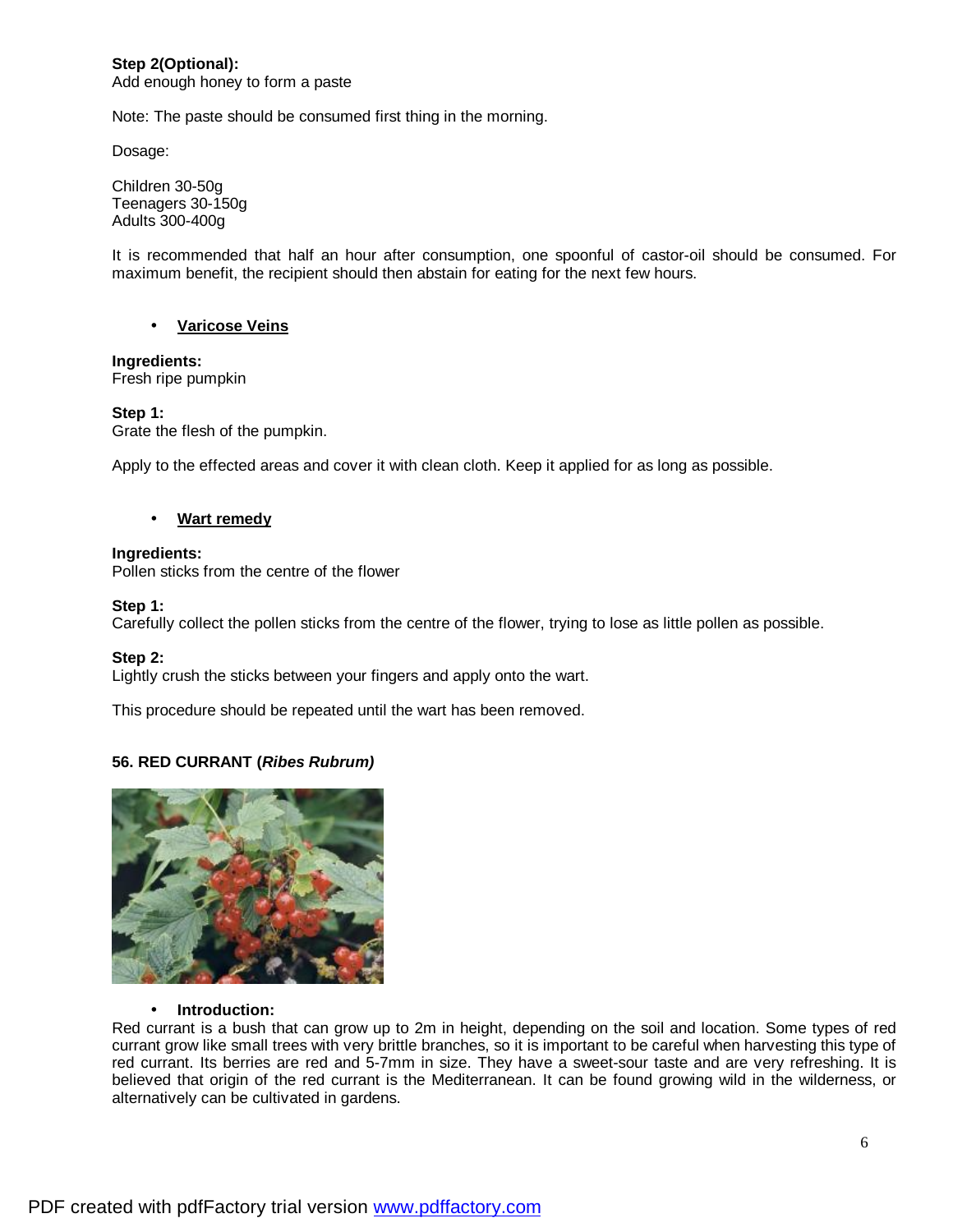#### **Step 2(Optional):**  Add enough honey to form a paste

Note: The paste should be consumed first thing in the morning.

Dosage:

Children 30-50g Teenagers 30-150g Adults 300-400g

It is recommended that half an hour after consumption, one spoonful of castor-oil should be consumed. For maximum benefit, the recipient should then abstain for eating for the next few hours.

## • **Varicose Veins**

# **Ingredients:**

Fresh ripe pumpkin

## **Step 1:**

Grate the flesh of the pumpkin.

Apply to the effected areas and cover it with clean cloth. Keep it applied for as long as possible.

## • **Wart remedy**

## **Ingredients:**

Pollen sticks from the centre of the flower

## **Step 1:**

Carefully collect the pollen sticks from the centre of the flower, trying to lose as little pollen as possible.

## **Step 2:**

Lightly crush the sticks between your fingers and apply onto the wart.

This procedure should be repeated until the wart has been removed.

# **56. RED CURRANT (***Ribes Rubrum)*



## • **Introduction:**

Red currant is a bush that can grow up to 2m in height, depending on the soil and location. Some types of red currant grow like small trees with very brittle branches, so it is important to be careful when harvesting this type of red currant. Its berries are red and 5-7mm in size. They have a sweet-sour taste and are very refreshing. It is believed that origin of the red currant is the Mediterranean. It can be found growing wild in the wilderness, or alternatively can be cultivated in gardens.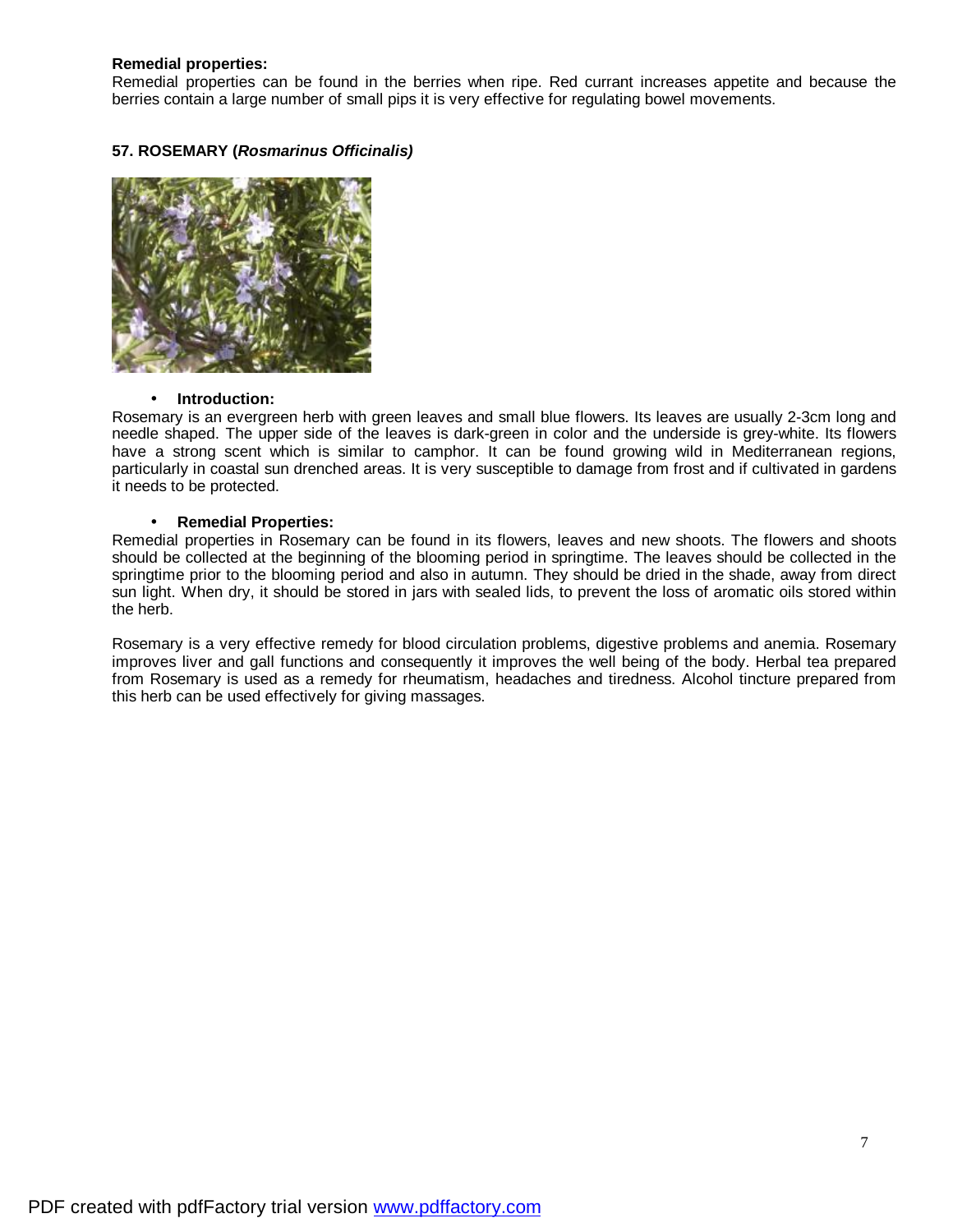## **Remedial properties:**

Remedial properties can be found in the berries when ripe. Red currant increases appetite and because the berries contain a large number of small pips it is very effective for regulating bowel movements.

## **57. ROSEMARY (***Rosmarinus Officinalis)*



## • **Introduction:**

Rosemary is an evergreen herb with green leaves and small blue flowers. Its leaves are usually 2-3cm long and needle shaped. The upper side of the leaves is dark-green in color and the underside is grey-white. Its flowers have a strong scent which is similar to camphor. It can be found growing wild in Mediterranean regions, particularly in coastal sun drenched areas. It is very susceptible to damage from frost and if cultivated in gardens it needs to be protected.

## • **Remedial Properties:**

Remedial properties in Rosemary can be found in its flowers, leaves and new shoots. The flowers and shoots should be collected at the beginning of the blooming period in springtime. The leaves should be collected in the springtime prior to the blooming period and also in autumn. They should be dried in the shade, away from direct sun light. When dry, it should be stored in jars with sealed lids, to prevent the loss of aromatic oils stored within the herb.

Rosemary is a very effective remedy for blood circulation problems, digestive problems and anemia. Rosemary improves liver and gall functions and consequently it improves the well being of the body. Herbal tea prepared from Rosemary is used as a remedy for rheumatism, headaches and tiredness. Alcohol tincture prepared from this herb can be used effectively for giving massages.